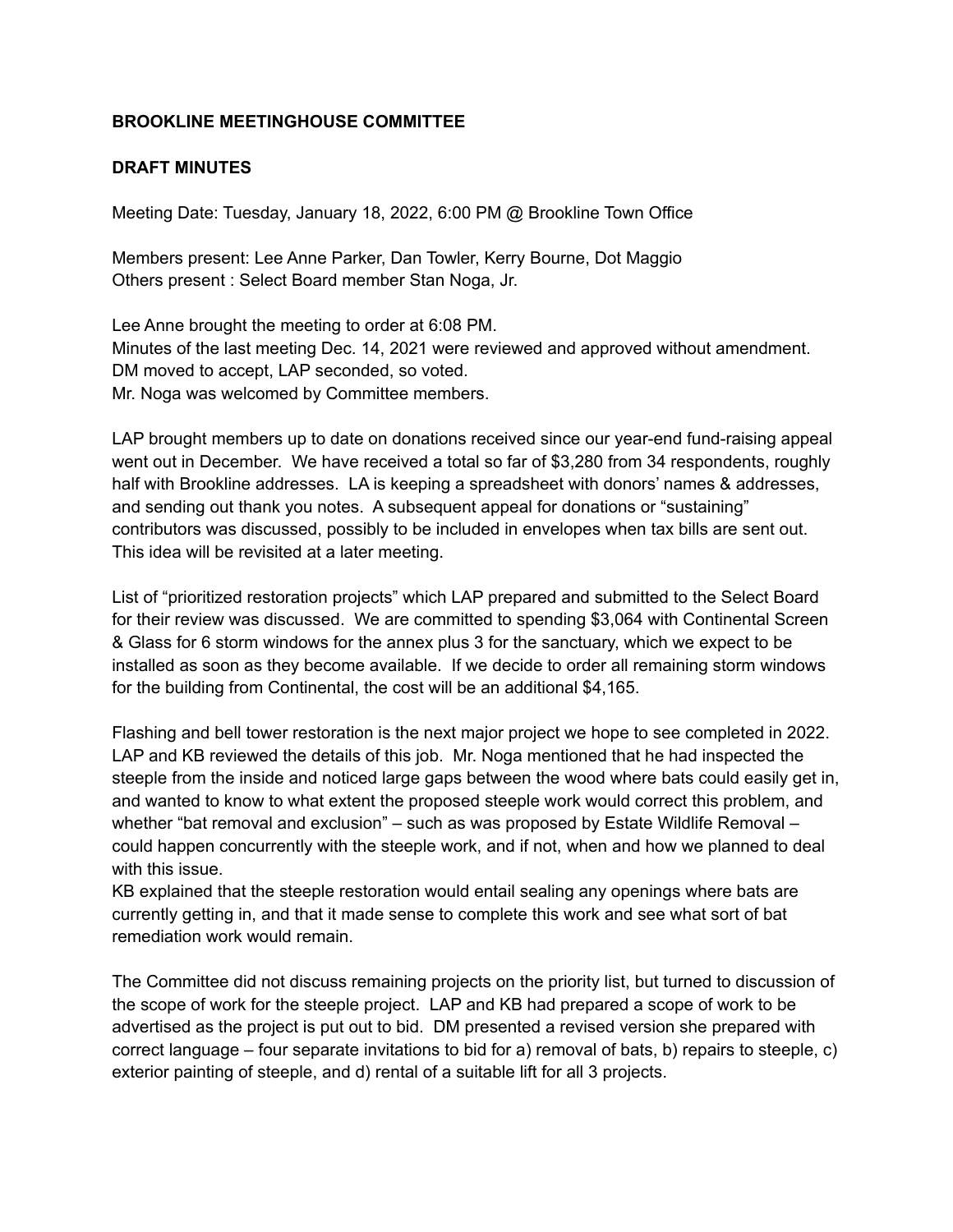## **BROOKLINE MEETINGHOUSE COMMITTEE**

## **DRAFT MINUTES**

Meeting Date: Tuesday, January 18, 2022, 6:00 PM @ Brookline Town Office

Members present: Lee Anne Parker, Dan Towler, Kerry Bourne, Dot Maggio Others present : Select Board member Stan Noga, Jr.

Lee Anne brought the meeting to order at 6:08 PM. Minutes of the last meeting Dec. 14, 2021 were reviewed and approved without amendment. DM moved to accept, LAP seconded, so voted. Mr. Noga was welcomed by Committee members.

LAP brought members up to date on donations received since our year-end fund-raising appeal went out in December. We have received a total so far of \$3,280 from 34 respondents, roughly half with Brookline addresses. LA is keeping a spreadsheet with donors' names & addresses, and sending out thank you notes. A subsequent appeal for donations or "sustaining" contributors was discussed, possibly to be included in envelopes when tax bills are sent out. This idea will be revisited at a later meeting.

List of "prioritized restoration projects" which LAP prepared and submitted to the Select Board for their review was discussed. We are committed to spending \$3,064 with Continental Screen & Glass for 6 storm windows for the annex plus 3 for the sanctuary, which we expect to be installed as soon as they become available. If we decide to order all remaining storm windows for the building from Continental, the cost will be an additional \$4,165.

Flashing and bell tower restoration is the next major project we hope to see completed in 2022. LAP and KB reviewed the details of this job. Mr. Noga mentioned that he had inspected the steeple from the inside and noticed large gaps between the wood where bats could easily get in, and wanted to know to what extent the proposed steeple work would correct this problem, and whether "bat removal and exclusion" – such as was proposed by Estate Wildlife Removal – could happen concurrently with the steeple work, and if not, when and how we planned to deal with this issue.

KB explained that the steeple restoration would entail sealing any openings where bats are currently getting in, and that it made sense to complete this work and see what sort of bat remediation work would remain.

The Committee did not discuss remaining projects on the priority list, but turned to discussion of the scope of work for the steeple project. LAP and KB had prepared a scope of work to be advertised as the project is put out to bid. DM presented a revised version she prepared with correct language – four separate invitations to bid for a) removal of bats, b) repairs to steeple, c) exterior painting of steeple, and d) rental of a suitable lift for all 3 projects.